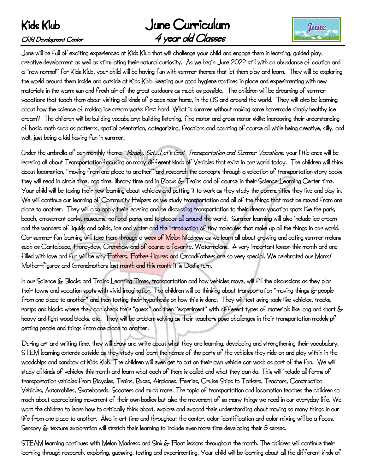## June Curriculum Child Development Center **4 year old Classes**



June will be full of exciting experiences at Kids Klub that will challenge your child and engage them in learning, guided play, creative development as well as stimulating their natural curiosity. As we begin June 2022 still with an abundance of caution and a "new normal" for Kids Klub, your child will be having fun with summer themes that let them play and learn. They will be exploring the world around them inside and outside at Kids Klub, keeping our good hygiene routines in place and experimenting with new materials in the warm sun and fresh air of the great outdoors as much as possible. The children will be dreaming of summer vacations that teach them about visiting all kinds of places near home, in the US and around the world. They will also be learning about how the science of making ice cream works first hand. What is summer without making some homemade simply healthy ice cream? The children will be building vocabulary; building listening, fine motor and gross motor skills; increasing their understanding of basic math such as patterns, spatial orientation, categorizing, fractions and counting of course all while being creative, silly, and well, just being a kid having fun in summer.

Under the umbrella of our monthly theme: Ready, Set…Let's Go! Transportation and Summer Vacations, your little ones will be learning all about Transportation focusing on many different kinds of Vehicles that exist in our world today. The children will think about locomotion, "moving from one place to another" and research the concepts through a selection of transportation story books they will read in circle time, nap time, library time and in Blocks & Trains and of course in their Science Learning Center time. Your child will be taking their new learning about vehicles and putting it to work as they study the communities they live and play in. We will continue our learning of Community Helpers as we study transportation and all of the things that must be moved from one place to another. They will also apply their learning and be discussing transportation to their dream vacation spots like the park, beach, amusement parks, museums, national parks and to places all around the world. Summer learning will also include ice cream and the wonders of liquids and solids, ice and water and the introduction of tiny molecules that make up all the things in our world. Our summer fun learning will take them through a week of Melon Madness as we learn all about growing and eating summer melons such as Cantaloupe, Honeydew, Crenshaw and of course a fayorite, Watermelons. A very important lesson this month and one filled with love and fun will be why Fathers, Father-figures and Grandfathers are so very special. We celebrated our Moms/ Mother-figures and Grandmothers last month and this month it is Dad's turn.

In our Science & Blocks and Trains Learning Times, transportation and how vehicles move, will fill the discussions as they plan their towns and vacation spots with vivid imagination. The children will be thinking about transportation "moving things & people from one place to another" and then testing their hypothesis on how this is done. They will test using tools like vehicles, tracks, ramps and blocks where they can check their "guess" and then "experiment" with different types of materials like long and short & heavy and light wood blocks, etc. They will be problem solving as their teachers pose challenges in their transportation models pf getting people and things from one place to another.

During art and writing time, they will draw and write about what they are learning, developing and strengthening their vocabulary. STEM learning extends outside as they study and learn the names of the parts of the vehicles they ride on and play within in the woodchips and sandbox at Kids Klub. The children will even get to put on their own vehicle car wash as part of the fun. We will study all kinds of vehicles this month and learn what each of them is called and what they can do. This will include all forms of transportation vehicles from Bicycles, Trains, Buses, Airplanes, Ferries, Cruise Ships to Tankers, Tractors, Construction Vehicles, Automobiles, Skateboards, Scooters and much more. The topic of transportation and locomotion teaches the children so much about appreciating movement of their own bodies but also the movement of so many things we need in our everyday life. We want the children to learn how to critically think about, explore and expand their understanding about moving so many things in our life from one place to another. Also in art time and throughout the center, color identification and color mixing will be a focus. Sensory & texture exploration will stretch their learning to include even more time developing their 5 senses.

STEAM learning continues with Melon Madness and Sink & Float lessons throughout the month. The children will continue their learning through research, exploring, guessing, testing and experimenting. Your child will be learning about all the different kinds of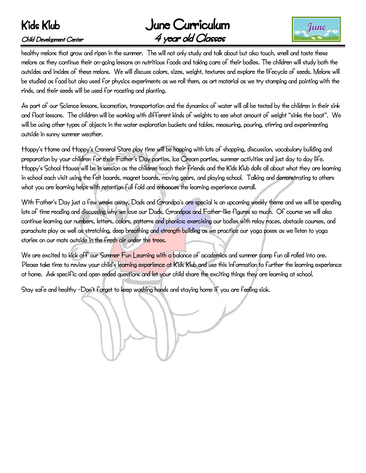## June Curriculum Child Development Center 4 year old Classes



healthy melons that grow and ripen in the summer. The will not only study and talk about but also touch, smell and taste these melons as they continue their on-going lessons on nutritious foods and taking care of their bodies. The children will study both the outsides and insides of these melons. We will discuss colors, sizes, weight, textures and explore the lifecycle of seeds. Melons will be studied as food but also used for physics experiments as we roll them, as art material as we try stamping and painting with the rinds, and their seeds will be used for roasting and planting.

As part of our Science lessons, locomotion, transportation and the dynamics of water will all be tested by the children in their sink and float lessons. The children will be working with different kinds of weights to see what amount of weight "sinks the boat". We will be using other types of objects in the water exploration buckets and tables, measuring, pouring, stirring and experimenting outside in sunny summer weather.

Hoppy's Home and Hoppy's General Store play time will be hopping with lots of shopping, discussion, vocabulary building and preparation by your children for their Father's Day parties, Ice Cream parties, summer activities and just day to day life. Hoppy's School House will be in session as the children teach their friends and the Kids Klub dolls all about what they are learning in school each visit using the felt boards, magnet boards, moving gears, and playing school. Talking and demonstrating to others what you are learning helps with retention full fold and enhances the learning experience overall.

With Father's Day just a few weeks away, Dads and Grandpa's are special is an upcoming weekly theme and we will be spending lots of time reading and discussing why we love our Dads, Grandpas and Father-like figures so much. Of course we will also continue learning our numbers, letters, colors, patterns and phonics; exercising our bodies with relay races, obstacle courses, and parachute play as well as stretching, deep breathing and strength building as we practice our yoga poses as we listen to yoga stories on our mats outside in the fresh air under the trees.

We are excited to kick off our Summer Fun Learning with a balance of academics and summer camp fun all rolled into one. Please take time to review your child's learning experience at Kids Klub and use this information to further the learning experience at home. Ask specific and open ended questions and let your child share the exciting things they are learning at school.

Stay safe and healthy -Don't forget to keep washing hands and staying home if you are feeling sick.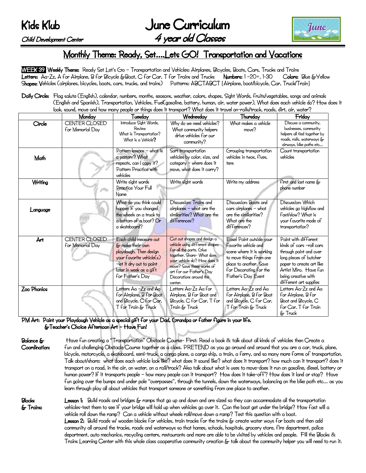June Curriculum Child Development Center 4 year old Classes



## Monthly Theme: Ready, Set….Lets GO! Transportation and Vacations

WEEK 39 Weekly Theme: Ready Set Let's Go - Transportation and Vehicles: Airplanes, Bicycles, Boats, Cars, Trucks and Trains Letters: Aa-Zz, A for Airplane, B for Bicycle &Boat, C for Car, T for Trains and Trucks Numbers: 1 –20+, 1-30 Colors: Blue &Yellow Shapes: Vehicles (airplanes, bicycles, boats, cars, trucks, and trains) Patterns: ABCTABCT [Airplane, boat/bicycle, Car, Truck/Train]

Daily Circle: Flag salute (English), calendar, numbers, months, seasons, weather, colors, shapes, Sight Words, fruits/vegetables, songs and animals (English and Spanish), Transportation, Vehicles, Fuel(gasoline, battery, human, air, water power), What does each vehicle do? How does it look, sound, move and how many people or things does it transport? What does it travel on-rails/track, roads, dirt, air, water?

|             | Monday                            | Tuesday                                                                                                                                                                     | Wednesday                                                                                                                                                                                                                                            | Thursday                                                                                                                                                                           | Friday                                                                                                                                                                                                     |
|-------------|-----------------------------------|-----------------------------------------------------------------------------------------------------------------------------------------------------------------------------|------------------------------------------------------------------------------------------------------------------------------------------------------------------------------------------------------------------------------------------------------|------------------------------------------------------------------------------------------------------------------------------------------------------------------------------------|------------------------------------------------------------------------------------------------------------------------------------------------------------------------------------------------------------|
| Circle      | CENTER CLOSED<br>for Memorial Day | Introduce Sight Words,<br>Review<br>What is Transportation?<br>What is a Vehicle?                                                                                           | Why do we need vehicles?<br>What community helpers<br>drive vehicles for our<br>community?                                                                                                                                                           | What makes a vehicle<br>move?                                                                                                                                                      | Discuss a community,<br>businesses, community<br>helpers all tied together by<br>roads, rails, waterways &<br>airways, bike paths etc                                                                      |
| Math        |                                   | Pattern lessons - what is<br>a pattern? What<br>repeats, can I copy it?<br>Pattern Practice with<br>vehicles                                                                | Sort transportation<br>vehicles by color, size, and<br>category - where does it<br>move, what does it carry?                                                                                                                                         | Grouping transportation<br>yehicles in twos, fives,<br>tens                                                                                                                        | Count transportation<br>vehicles                                                                                                                                                                           |
| Writing     |                                   | Write sight words<br>Practice Your Full<br>Name                                                                                                                             | Write sight words                                                                                                                                                                                                                                    | Write my address                                                                                                                                                                   | first and last name &<br>phone number                                                                                                                                                                      |
| Language    |                                   | What do you think could<br>happen if you changed<br>the wheels on a truck to<br>a bottom of a boat? Or<br>a skateboard?                                                     | Discussion: Trains and<br>airplanes - what are the<br>similarities? What are the<br>differences?                                                                                                                                                     | Discussion: Boats and<br>cars airplanes - what<br>are the similarities?<br>What are the<br>differences?                                                                            | Discussion: Which<br>vehicles go high/low and<br>fast/slow? What is<br>your favorite mode of<br>transportation?                                                                                            |
| Årt         | CENTER CLOSED<br>for Memorial Day | Each child measure out<br>& make their own<br>playdough. Then design<br>your favorite vehicle(s)<br>-let it dry out to paint<br>later in week as a gift<br>for Father's Day | Cut out shapes and design a<br>vehicle using different shapes<br>for all the parts. Glue<br>together. Share- What does<br>your vehicle do? How does it<br>moye? Saye these works of<br>art for our Father's Day<br>Decorations around the<br>center. | Easel Paint outside your<br>favorite vehicle and<br>scene where it is working<br>to move things from one<br>place to another. Saye<br>for Decorating for the<br>Father's Day Event | Paint with different<br>kinds of cars -roll cars<br>through paint and over<br>long pieces of butcher<br>paper to create art like<br>Årtist Miro. Haye fun<br>being creative with<br>different art supplies |
| Zoo Phonics |                                   | Letters Aa -Zz and Aa<br>for Airplane, B for Boat<br>and Bicycle, C for Car,<br>T for Train & Truck                                                                         | Letters Åa-Zz Åa for<br>Airplane, B for Boat and<br>Bicycle, C for Car, T for<br>Train & Truck                                                                                                                                                       | Letters Aa-Zz and Aa<br>for Airplane, B for Boat<br>and Bicycle, C for Car,<br>T for Train & Truck                                                                                 | Letters Åa-Zz and Åa<br>for Airplane, B for<br>Boat and Bicycle, C<br>for Car, T for Train<br>& Truck                                                                                                      |

PM Art: Paint your Playdough Vehicle as a special gift for your Dad, Grandpa or father figure in your life. &Teacher's Choice Afternoon Art – Have Fun!

Balance & Have fun creating a "Transportation" Obstacle Course- First: Read a book & talk about all kinds of vehicles then Create a Coordination: fun and challenging Obstacle Course together as a class. PRETEND as you go around and around that you are a car, truck, plane, bicycle, motorcycle, a skateboard, semi-truck, a cargo plane, a cargo ship, a train, a ferry, and so many more forms of transportation. Talk about/share: what does each vehicle look like? what does it sound like? what does it transport? how much can it transport? does it transport on a road, in the air, on water, on a rail/track? Also talk about what is uses to move-does it run on gasoline, diesel, battery or human power? If it transports people – how many people can it transport? How does it take-off? How does it land or stop? Have fun going over the bumps and under pole "overpasses", through the tunnels, down the waterways, balancing on the bike path etc… as you learn through play all about vehicles that transport someone or something from one place to another.

Blocks Lesson 1: Build roads and bridges & ramps that go up and down and are sized so they can accommodate all the transportation & Trains: vehicles-test them to see if your bridge will hold up when vehicles go over it. Can the boat get under the bridge? How fast will a vehicle roll down the ramp? Can a vehicle without wheels roll/move down a ramp? Test this question with a boat. Lesson 2: Build roads w/ wooden blocks for vehicles, train tracks for the trains & create water ways for boats and then add community all around the tracks, roads and waterways so that homes, schools, hospitals, grocery store, fire department, police department, auto mechanics, recycling centers, restaurants and more are able to be visited by vehicles and people. Fill the Blocks & Trains Learning Center with this whole class cooperative community creation & talk about the community helper you will need to run it.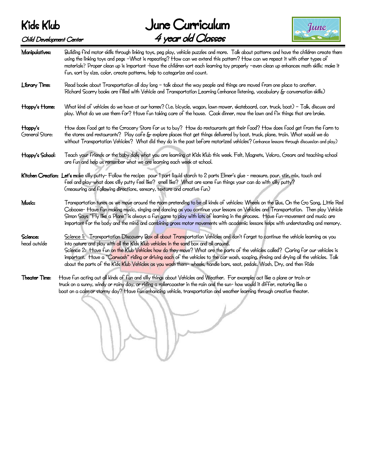June Curriculum Child Development Center 4 year old Classes



| Manipulatives:            | Building find motor skills through linking toys, peg play, vehicle puzzles and more. Talk about patterns and have the children create them<br>using the linking toys and pegs -What is repeating? How can we extend this pattern? How can we repeat it with other types of<br>materials? Proper clean up is important -have the children sort each learning toy properly -even clean up enhances math skills: make it<br>fun, sort by size, color, create patterns, help to categorize and count.                                                                                                                                  |
|---------------------------|------------------------------------------------------------------------------------------------------------------------------------------------------------------------------------------------------------------------------------------------------------------------------------------------------------------------------------------------------------------------------------------------------------------------------------------------------------------------------------------------------------------------------------------------------------------------------------------------------------------------------------|
| Library Time:             | Read books about Transportation all day long - talk about the way people and things are moved from one place to another.<br>Richard Scarry books are filled with Vehicle and Transportation Learning (enhance listening, vocabulary & conversation skills)                                                                                                                                                                                                                                                                                                                                                                         |
| Hoppy's Home:             | What kind of vehicles do we have at our homes? (i.e. bicycle, wagon, lawn mower, skateboard, car, truck, boat) - Talk, discuss and<br>play. What do we use them for? Have fun taking care of the house. Cook dinner, mow the lawn and fix things that are broke.                                                                                                                                                                                                                                                                                                                                                                   |
| Hoppy's<br>General Store: | How does food get to the Grocery Store for us to buy? How do restaurants get their food? How does food get from the farm to<br>the stores and restaurants? Play cafe & explore places that get things delivered by boat, truck, plane, train. What would we do<br>without Transportation Vehicles? What did they do in the past before motorized vehicles? (enhance lessons through discussion and play)                                                                                                                                                                                                                           |
| Hoppy's School:           | Teach your friends or the baby dolls what you are learning at Kids Klub this week. Felt, Magnets, Velcro, Gears and teaching school<br>are fun and help us remember what we are learning each week at school.                                                                                                                                                                                                                                                                                                                                                                                                                      |
|                           | Kitchen Creation: Let's make silly putty- Follow the recipe: pour 1 part liquid starch to 2 parts Elmer's glue - measure, pour, stir, mix, touch and<br>feel and play-what does silly putty feel like? smell like? What are some fun things your can do with silly putty?<br>(measuring and following directions, sensory, texture and creative fun)                                                                                                                                                                                                                                                                               |
| Music:                    | Transportation tunes as we move around the room pretending to be all kinds of vehicles: Wheels on the Bus, On the Go Song, Little Red<br>Caboose- Have fun making music, singing and dancing as you continue your lessons on Vehicles and Transportation. Then play Vehicle<br>Simon Says "Fly like a Plane" is always a fun game to play with lots of learning in the process. Have fun-movement and music are<br>important for the body and the mind and combining gross motor movements with academic lessons helps with understanding and memory.                                                                              |
| Science:<br>head outside  | Science 1: Transportation Discovery Box all about Transportation Vehicles and don't forget to continue the vehicle learning as you<br>into nature and play with all the Kids Klub vehicles in the sand box and all around.<br>Science 2: Have fun on the Klub Vehicles how do they move? What are the parts of the vehicles called? Caring for our vehicles is<br>important. Have a "Carwash" riding or driving each of the vehicles to the car wash, soaping, rinsing and drying all the vehicles. Talk<br>about the parts of the Kids Klub Vehicles as you wash them-wheels, handle bars, seat, pedals. Wash, Dry, and then Ride |
| <b>Theater Time:</b>      | Have fun acting out all kinds of fun and silly things about Vehicles and Weather. For example: act like a plane or train or<br>truck on a sunny, windy or rainy day, or riding a rollercoaster in the rain and the sun- how would it differ, motoring like a<br>boat on a calm or stormy day? Have fun enhancing vehicle, transportation and weather learning through creative theater.                                                                                                                                                                                                                                            |

١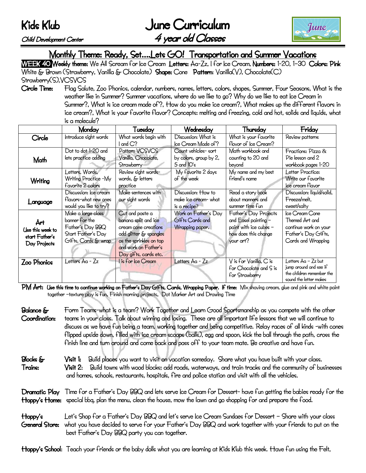June Curriculum Child Development Center 4 year old Classes



## Monthly Theme: Ready, Set….Lets GO! Transportation and Summer Vacations

WEEK 40 Weekly theme: We All Scream for Ice Cream Letters: Aa-Zz, I for Ice Cream, Numbers: 1-20, 1-30 Colors: Pink White & Brown (Strawberry, Vanilla & Chocolate) Shape: Cone Pattern: Vanilla(V), Chocolate(C) Strawberry(S), VCSVCS

Circle Time: Flag Salute, Zoo Phonics, calendar, numbers, names, letters, colors, shapes, Summer, Four Seasons, What is the weather like in Summer? Summer vacations, where do we like to go? Why do we like to eat Ice Cream in Summer?, What is ice cream made of?, How do you make ice cream?, What makes up the different flavors in ice cream?, What is your favorite flavor? Concepts: melting and freezing, cold and hot, solids and liquids, what is a molecule?

|                  | Monday                 | Tuesday                 | Wednesday              | Thursday                      | Friday                                              |
|------------------|------------------------|-------------------------|------------------------|-------------------------------|-----------------------------------------------------|
| Circle           | Introduce sight words  | What words begin with   | Discussion: What is    | What is your favorite         | Review patterns                                     |
|                  |                        | l and C?                | Ice Cream Made of?     | flovor of Ice Cream?          |                                                     |
|                  | Dot to dot 1-20 and    | Pattern VCSVCS          | Count vehicles-sort    | Math workbook and             | Fractions: Pizza &                                  |
| Math             | lets practice adding   | Vanilla, Chocolate,     | by colors, group by 2, | counting to 20 and            | Pie lesson and 2                                    |
|                  |                        | Strawberry              | 5 and $10\degree$ s    | beyond                        | workbook pages 1-20                                 |
|                  | Letters, Words,        | Review sight words-     | My favorite 2 days     | My name and my best           | Letter Practice:                                    |
| Writing          | Writing Practice -My   | words, & letters        | of the week            | friend's name                 | Write our favorite                                  |
|                  | favorite 2 colors      | practice                |                        |                               | ice cream flavor                                    |
|                  | Discussion: Ice cream  | Make sentences with     | Discussion: How to     | Read a story book             | Discussion: liquid/solid,                           |
| Language         | flayors-what new ones  | our sight words         | make ice cream- what   | about manners and             | Freeze/melt,                                        |
|                  | would you like to try? |                         | is a recipe?           | summer time fun               | sweet/salty                                         |
|                  | Make a large class     | Cut and paste a         | Work on Father's Day   | Father's Day Projects         | Ice Cream Cone                                      |
| Årt              | banner for the         | banana split and ice    | Gifts Cards and        | and Easel painting -          | Themed Art and                                      |
| Use this week to | Father's Day BBQ       | cream cone creations    | Wrapping paper.        | paint with ice cubes -        | continue work on your                               |
| start Father's   | Start Father's Day     | add glitter & spangles  |                        | how does this change          | Father's Day Gifts,                                 |
| Day Projects     | Gifts, Cards & wrap    | as the sprinkles on top |                        | your art?                     | Cards and Wrapping                                  |
|                  |                        | and work on Father's    |                        |                               |                                                     |
|                  |                        | Day gifts, cards etc.   |                        |                               |                                                     |
| Zoo Phonics      | Letters Åa - Zz        | I is for Ice Cream      | Letters Aa - Zz        | $V$ is for $V$ anilla, $C$ is | Letters Åa - Zz but                                 |
|                  |                        |                         |                        | for Chocolate and S is        | jump around and see if                              |
|                  |                        |                         |                        | for Strawberry                | the children remember the<br>sound the letter makes |

PM Art: Use this time to continue working on Father's Day Gifts, Cards, Wrapping Paper. If time: Mix shaving cream, glue and pink and white paint together –texture play is fun. Finish morning projects. Dot Marker Art and Drawing Time

- Balance & Form Teams-what is a team? Work Together and Learn Good Sportsmanship as you compete with the other Coordination: teams in your class. Talk about winning and losing. These are all important life lessons that we will continue to discuss as we have fun being a team, working together and being competitive. Relay races of all kinds -with cones flipped upside down, filled with ice cream scoops (balls), egg and spoon, kick the ball through the path, cross the finish line and turn around and come back and pass off to your team mate. Be creative and have fun.
- Blocks & Visit 1: Build places you want to visit on vacation someday. Share what you have built with your class. Trains: Visit 2: Build towns with wood blocks; add roads, waterways, and train tracks and the community of businesses and homes, schools, restaurants, hospitals, fire and police station and visit with all the vehicles.
- Dramatic Play Time for a Father's Day BBQ and lets serve Ice Cream for Dessert- have fun getting the babies ready for the Hoppy's Home: special bbq, plan the menu, clean the house, mow the lawn and go shopping for and prepare the food.
- Hoppy's Let's Shop for a Father's Day BBQ and let's serve Ice Cream Sundaes for Dessert Share with your class General Store: what you have decided to serve for your Father's Day BBQ and work together with your friends to put on the best Father's Day BBQ party you can together.

Hoppy's School: Teach your friends or the baby dolls what you are learning at Kids Klub this week. Have fun using the Felt,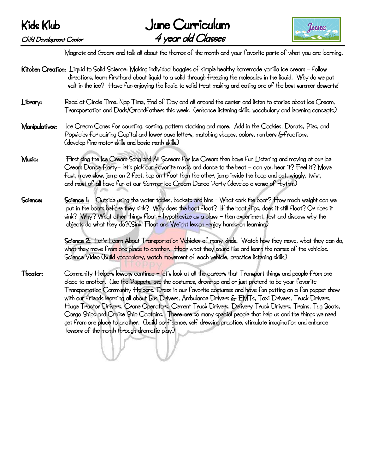

Magnets and Gears and talk all about the themes of the month and your favorite parts of what you are learning.

Kitchen Creation: Liquid to Solid Science: Making individual baggies of simple healthy homemade vanilla ice cream – follow directions, learn firsthand about liquid to a solid through freezing the molecules in the liquid. Why do we put salt in the ice? Have fun enjoying the liquid to solid treat making and eating one of the best summer desserts! Library: Read at Circle Time, Nap Time, End of Day and all around the center and listen to stories about Ice Cream, Transportation and Dads/Grandfathers this week. (enhance listening skills, vocabulary and learning concepts) Manipulatives: Ice Cream Cones for counting, sorting, pattern stacking and more. Add in the Cookies, Donuts, Pies, and Popsicles for pairing Capital and lower case letters, matching shapes, colors, numbers &fractions. (develop fine motor skills and basic math skills) Music: First sing the Ice Cream Song and All Scream for Ice Cream then have fun Listening and moving at our Ice Cream Dance Party– let's pick our favorite music and dance to the beat – can you hear it? Feel it? Move fast, move slow, jump on 2 feet, hop on 1 foot then the other, jump inside the hoop and out, wiggly, twist, and most of all have fun at our Summer Ice Cream Dance Party (develop a sense of rhythm) Science: Science 1: Outside using the water tables, buckets and bins - What sank the boat? How much weight can we put in the boats before they sink? Why does the boat float? If the boat flips, does it still float? Or does it sink? Why? What other things float – hypothesize as a class – then experiment, test and discuss why the objects do what they do?(Sink, Float and Weight lesson -enjoy hands-on learning) Science 2: Let's Learn About Transportation Vehicles of many kinds. Watch how they move, what they can do, what they move from one place to another. Hear what they sound like and learn the names of the vehicles. Science Video (build vocabulary, watch movement of each vehicle, practice listening skills) Theater: Community Helpers lessons continue – let's look at all the careers that Transport things and people from one place to another. Use the Puppets, use the costumes, dress-up and or just pretend to be your favorite Transportation Community Helpers. Dress in our favorite costumes and have fun putting on a fun puppet show with our friends learning all about Bus Drivers, Ambulance Drivers & EMTs, Taxi Drivers, Truck Drivers, Huge Tractor Drivers, Crane Operators, Cement Truck Drivers, Delivery Truck Drivers, Trains, Tug Boats, Cargo Ships and Cruise Ship Captains. There are so many special people that help us and the things we need get from one place to another. (build confidence, self dressing practice, stimulate imagination and enhance lessons of the month through dramatic play) Ĩ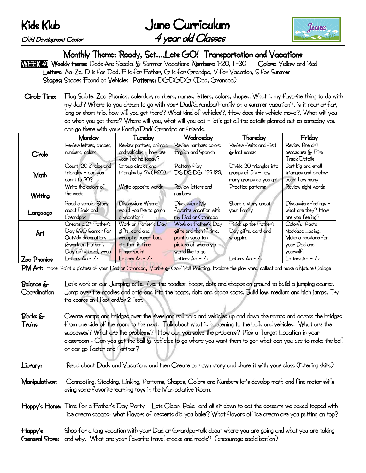June Curriculum Child Development Center 4 year old Classes



# Monthly Theme: Ready, Set....Lets GO! Transportation and Vacations<br>kkv theme: Dads Are Special & Summer Vacations Numbers: 1-20, 1-30 Colors: Yellow and Red

WEEK 41 Weekly theme: Dads Are Special & Summer Vacations Numbers: 1-20, 1-30 Letters: Aa-Zz, D is for Dad, F is for Father, G is for Grandpa, V for Vacation, S for Summer Shapes: Shapes Found on Vehicles Patterns: DGDGDG (Dad, Grandpa):

Circle Time: Flag Salute, Zoo Phonics, calendar, numbers, names, letters, colors, shapes, What is my favorite thing to do with my dad? Where to you dream to go with your Dad/Grandpa/Family on a summer vacation?, is it near or far, long or short trip, how will you get there? What kind of vehicles?, How does this vehicle move?, What will you do when you get there? Where will you, what will you eat – let's get all the details planned out so someday you can go there with your family/Dad/ Grandpa or friends.

|             | Monday                                                                                                                       | Tuesday                                                                                              | Wednesday                                                                                                        | Thursday                                                                    | Friday                                                                                 |
|-------------|------------------------------------------------------------------------------------------------------------------------------|------------------------------------------------------------------------------------------------------|------------------------------------------------------------------------------------------------------------------|-----------------------------------------------------------------------------|----------------------------------------------------------------------------------------|
| Circle      | Review letters, shapes,<br>numbers, colors                                                                                   | Review pattern, animals<br>and vehicles - how are<br>your feeling today?                             | Review numbers colors<br>English and Spanish                                                                     | Review fruits and first<br>& last names                                     | Review fire drill<br>procedure & Fire<br>Truck Details                                 |
| Math        | Count 20 circles and<br>triangles - can you<br>count to 30?                                                                  | Group circles and<br>triangles by $5\text{'s}$ (1-20)                                                | Pattern Play<br>DGDGDG, 123,123,                                                                                 | Divide 20 triangles into<br>groups of $5's$ - how<br>many groups do you get | Sort big and small<br>triangles and circles-<br>count how many                         |
| Writing     | Write the colors of<br>the week                                                                                              | Write opposite words                                                                                 | Review letters and<br>numbers                                                                                    | Practice patterns                                                           | Review sight words                                                                     |
| Language    | Read a special Story<br>about Dads and<br>Grandpas                                                                           | Discussion: Where<br>would you like to go on<br>a vacation?                                          | Discussion: My<br>favorite vacation with<br>my Dad or Grandpa                                                    | Share a story about<br>your family                                          | Discussion: feelings -<br>what are they? How<br>are you feeling?                       |
| Årt         | Create a 2 <sup>nd</sup> Father's<br>Day BBQ Banner for<br>Outside decorations<br>&work on Father's<br>Day gifts, card, wrap | Work on Father's Day<br>gifts, card and<br>wrapping paper, bag,<br>etc then if time,<br>Finger-paint | Work on Father's Day<br>gifts and then if time,<br>paint a vacation<br>picture of where you<br>would like to go. | Finish up the Father's<br>Day gifts, card and<br>wrapping.                  | Colorful Pasta<br>Necklace Lacing.<br>Make a necklace for<br>your Dad and<br>yourself. |
| Zoo Phonics | Letters Aa - Zz                                                                                                              | Letters Åa - Zz                                                                                      | Letters $Aa - Zz$                                                                                                | Letters Åa - Zz                                                             | Letters Åa – Zz                                                                        |

PM Art: Easel Paint a picture of your Dad or Grandpa, Marble & Golf Ball Painting, Explore the play yard, collect and make a Nature Collage

- Balance  $\delta$  Let's work on our Jumping skills. Use the noodles, hoops, dots and shapes on ground to build a jumping course. Coordination Jump over the noodles and onto and into the hoops, dots and shape spots. Build low, medium and high jumps. Try the course on 1 foot and/or 2 feet.
- Blocks & Create ramps and bridges over the river and roll balls and vehicles up and down the ramps and across the bridges Trains from one side of the room to the next. Talk about what is happening to the balls and vehicles. What are the successes? What are the problems? How can you solve the problems? Pick a Target Location in your classroom - Can you get the ball & vehicles to go where you want them to go- what can you use to make the ball or car go faster and farther?
- Library: Read about Dads and Vacations and then Create our own story and share it with your class (listening skills)
- Manipulatives: Connecting, Stacking, Linking, Patterns, Shapes, Colors and Numbers let's develop math and fine motor skills using some favorite learning toys in the Manipulative Room.
- Hoppy's Home: Time for a Father's Day Party Lets Clean, Bake and all sit down to eat the desserts we baked topped with ice cream scoops- what flavors of desserts did you bake? What flavors of ice cream are you putting on top?

#### Hoppy's Shop for a long vacation with your Dad or Grandpa-talk about where you are going and what you are taking General Store: and why. What are your favorite travel snacks and meals? (encourage socialization)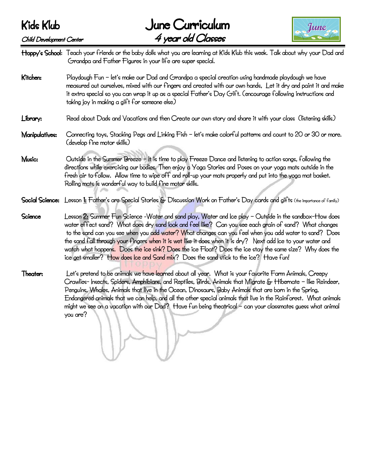### Kids Klub June Curriculum Child Development Center 4 year old Classes



Hoppy's School: Teach your friends or the baby dolls what you are learning at Kids Klub this week. Talk about why your Dad and Grandpa and Father Figures in your life are super special.

- Kitchen: Playdough Fun let's make our Dad and Grandpa a special creation using handmade playdough we have measured out ourselves, mixed with our fingers and created with our own hands, Let it dry and paint it and make it extra special so you can wrap it up as a special Father's Day Gift. (encourage following instructions and taking joy in making a gift for someone else)
- Library: Read about Dads and Vacations and then Create our own story and share it with your class (listening skills)
- Manipulatives: Connecting toys, Stacking Pegs and Linking Fish let's make colorful patterns and count to 20 or 30 or more. (develop fine motor skills)
- Music: Outside in the Summer Breeze It is time to play Freeze Dance and listening to action songs, following the directions while exercising our bodies. Then enjoy a Yoga Stories and Poses on your yoga mats outside in the fresh air to follow. Allow time to wipe off and roll-up your mats properly and put into the yoga mat basket. Rolling mats is wonderful way to build fine motor skills.
- Social Science: Lesson 1: Father's are Special Stories & Discussion Work on Father's Day cards and gifts (the importance of family)
- Science Lesson 2: Summer Fun Science -Water and sand play, Water and Ice play Outside in the sandbox-How does water effect sand? What does dry sand look and feel like? Can you see each grain of sand? What changes to the sand can you see when you add water? What changes can you feel when you add water to sand? Does the sand fall through your fingers when it is wet like it does when it is dry? Next add Ice to your water and watch what happens. Does the ice sink? Does the ice Float? Does the ice stay the same size? Why does the ice get smaller? How does Ice and Sand mix? Does the sand stick to the ice? Have fun!
- Theater: Let's pretend to be animals we have learned about all year. What is your favorite Farm Animals, Creepy Crawlies- Insects, Spiders, Amphibians, and Reptiles, Birds, Animals that Migrate & Hibernate – like Reindeer, Penguins, Whales, Animals that live in the Ocean, Dinosaurs, Baby Animals that are born in the Spring, Endangered animals that we can help, and all the other special animals that live in the Rainforest. What animals might we see on a vacation with our Dad? Have fun being theatrical – can your classmates guess what animal you are?

Ĩ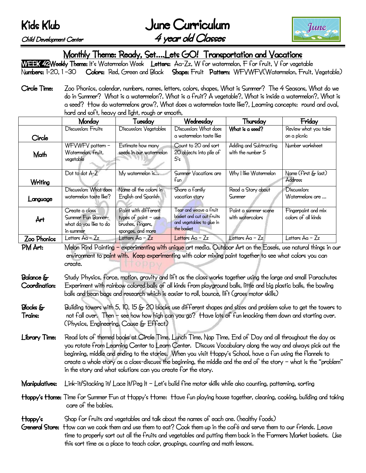June Curriculum Child Development Center 4 year old Classes



Monthly Theme: Ready, Set….Lets GO! Transportation and Vacations

WEEK 42 Weekly Theme: It's Watermelon Week Letters: Aa-Zz, W for watermelon, F for fruit, V for vegetable Numbers: 1-20, 1-30 Colors: Red, Green and Black Shape: Fruit Pattern: WFVWFV(Watermelon, Fruit, Vegetable)

Circle Time: Zoo Phonics, calendar, numbers, names, letters, colors, shapes, What is Summer? The 4 Seasons, What do we do in Summer? What is a watermelon?, What is a fruit? A vegetable?, What is inside a watermelon?, What is a seed? How do watermelons grow?, What does a watermelon taste like?, Learning concepts: round and oval, hard and soft, heavy and light, rough or smooth,

|             | Monday                                                                      | Tuesday                                                                                  | Wednesday                                                                                      | Thursday                                    | Friday                                     |
|-------------|-----------------------------------------------------------------------------|------------------------------------------------------------------------------------------|------------------------------------------------------------------------------------------------|---------------------------------------------|--------------------------------------------|
|             | Discussion: Fruits                                                          | Discussion: Vegetables                                                                   | Discussion: What does                                                                          | What is a seed?                             | Review what you take                       |
| Circle      |                                                                             |                                                                                          | a watermelon taste like                                                                        |                                             | on a picnic                                |
| Math        | WFVWFV pattern -<br>Watermelon, fruit,<br>vegetable                         | Estimate how many<br>seeds in our watermelon                                             | Count to 20 and sort<br>20 objects into pile of<br>$5\mathsf{s}$                               | Adding and Subtracting<br>with the number 5 | Number worksheet                           |
| Writing     | Dot to dot A-Z                                                              | My watermelon is                                                                         | Summer Vacations are<br>f <sub>un</sub>                                                        | Why I like Watermelon                       | Name (first & last)<br><b>Address</b>      |
| Language    | Discussion: What does<br>watermelon taste like?                             | Name all the colors in<br>English and Spanish                                            | Share a family<br>yacation story                                                               | Read a Story about<br>Summer                | Discussion:<br>Watermelons are             |
| Årt         | Create a class<br>Summer Fun Banner-<br>what do you like to do<br>in summer | Paint with different<br>types of paint $-$ use<br>brushes, fingers,<br>sponges, and more | Tear and weave a fruit<br>basket and cut out fruits<br>and vegetables to glue in<br>the basket | Paint a summer scene<br>with watercolors    | Fingerpaint and mix<br>colors of all kinds |
| Zoo Phonics | Letters Åa – Zz                                                             | Letters $Aa - Zz$                                                                        | Letters Aa - Zz                                                                                | Letters Åa - Zz                             | Letters Åa – Zz                            |

PM Art: Melon Rind Painting – experimenting with unique art media. Outdoor Art on the Easels, use natural things in our environment to paint with. Keep experimenting with color mixing paint together to see what colors you can create.

- Balance & Study Physics, force, motion, gravity and lift as the class works together using the large and small Parachutes Coordination: Experiment with rainbow colored balls of all kinds from playground balls, little and big plastic balls, the bowling balls and bean bags and research which is easier to roll, bounce, lift (gross motor skills)
- Blocks  $\epsilon$  Building towers with 5, 10, 15  $\epsilon$  20 blocks use different shapes and sizes and problem solve to get the towers to Trains: not fall over. Then – see how how high can you go? Have lots of fun knocking them down and starting over. (Physics, Engineering, Cause & Effect)
- Library Time: Read lots of themed books at Circle Time, Lunch Time, Nap Time, End of Day and all throughout the day as you rotate from Learning Center to Learn Center. Discuss Vocabulary along the way and always pick out the beginning, middle and ending to the stories. When you visit Hoppy's School, have a fun using the flannels to create a whole story as a class-discuss the beginning, the middle and the end of the story – what is the "problem" in the story and what solutions can you create for the story.
- Manipulatives: Link-it/Stacking it/ Lace It/Peg It Let's build fine motor skills while also counting, patterning, sorting
- Hoppy's Home: Time for Summer Fun at Hoppy's Home: Have fun playing house together, cleaning, cooking, building and taking care of the babies.
- Hoppy's Shop for fruits and vegetables and talk about the names of each one. (healthy foods)
- General Store: How can we cook them and use them to eat? Cook them up in the café and serve them to our friends. Leave time to properly sort out all the fruits and vegetables and putting them back in the Farmers Market baskets. Use this sort time as a place to teach color, groupings, counting and math lessons.